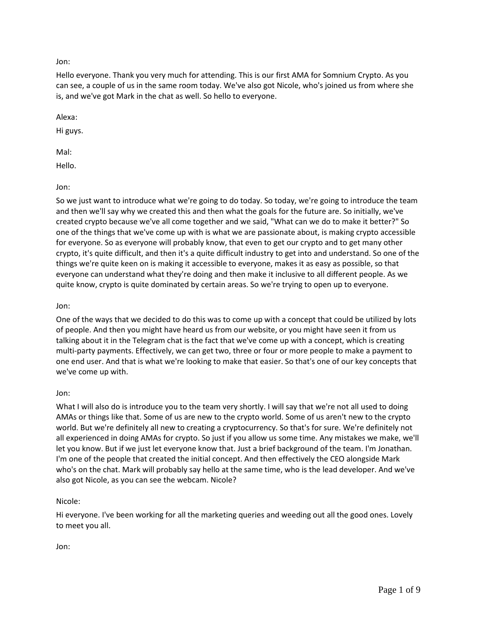## Jon:

Hello everyone. Thank you very much for attending. This is our first AMA for Somnium Crypto. As you can see, a couple of us in the same room today. We've also got Nicole, who's joined us from where she is, and we've got Mark in the chat as well. So hello to everyone.

Alexa:

Hi guys.

Mal:

Hello.

Jon:

So we just want to introduce what we're going to do today. So today, we're going to introduce the team and then we'll say why we created this and then what the goals for the future are. So initially, we've created crypto because we've all come together and we said, "What can we do to make it better?" So one of the things that we've come up with is what we are passionate about, is making crypto accessible for everyone. So as everyone will probably know, that even to get our crypto and to get many other crypto, it's quite difficult, and then it's a quite difficult industry to get into and understand. So one of the things we're quite keen on is making it accessible to everyone, makes it as easy as possible, so that everyone can understand what they're doing and then make it inclusive to all different people. As we quite know, crypto is quite dominated by certain areas. So we're trying to open up to everyone.

# Jon:

One of the ways that we decided to do this was to come up with a concept that could be utilized by lots of people. And then you might have heard us from our website, or you might have seen it from us talking about it in the Telegram chat is the fact that we've come up with a concept, which is creating multi-party payments. Effectively, we can get two, three or four or more people to make a payment to one end user. And that is what we're looking to make that easier. So that's one of our key concepts that we've come up with.

## Jon:

What I will also do is introduce you to the team very shortly. I will say that we're not all used to doing AMAs or things like that. Some of us are new to the crypto world. Some of us aren't new to the crypto world. But we're definitely all new to creating a cryptocurrency. So that's for sure. We're definitely not all experienced in doing AMAs for crypto. So just if you allow us some time. Any mistakes we make, we'll let you know. But if we just let everyone know that. Just a brief background of the team. I'm Jonathan. I'm one of the people that created the initial concept. And then effectively the CEO alongside Mark who's on the chat. Mark will probably say hello at the same time, who is the lead developer. And we've also got Nicole, as you can see the webcam. Nicole?

# Nicole:

Hi everyone. I've been working for all the marketing queries and weeding out all the good ones. Lovely to meet you all.

## Jon: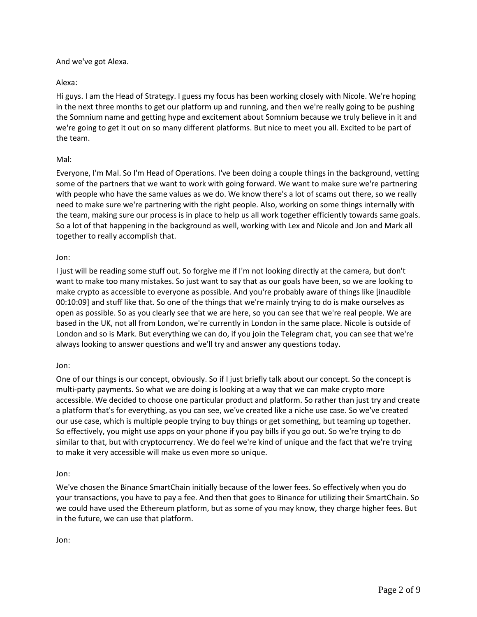### And we've got Alexa.

## Alexa:

Hi guys. I am the Head of Strategy. I guess my focus has been working closely with Nicole. We're hoping in the next three months to get our platform up and running, and then we're really going to be pushing the Somnium name and getting hype and excitement about Somnium because we truly believe in it and we're going to get it out on so many different platforms. But nice to meet you all. Excited to be part of the team.

## Mal:

Everyone, I'm Mal. So I'm Head of Operations. I've been doing a couple things in the background, vetting some of the partners that we want to work with going forward. We want to make sure we're partnering with people who have the same values as we do. We know there's a lot of scams out there, so we really need to make sure we're partnering with the right people. Also, working on some things internally with the team, making sure our process is in place to help us all work together efficiently towards same goals. So a lot of that happening in the background as well, working with Lex and Nicole and Jon and Mark all together to really accomplish that.

### Jon:

I just will be reading some stuff out. So forgive me if I'm not looking directly at the camera, but don't want to make too many mistakes. So just want to say that as our goals have been, so we are looking to make crypto as accessible to everyone as possible. And you're probably aware of things like [inaudible 00:10:09] and stuff like that. So one of the things that we're mainly trying to do is make ourselves as open as possible. So as you clearly see that we are here, so you can see that we're real people. We are based in the UK, not all from London, we're currently in London in the same place. Nicole is outside of London and so is Mark. But everything we can do, if you join the Telegram chat, you can see that we're always looking to answer questions and we'll try and answer any questions today.

## Jon:

One of our things is our concept, obviously. So if I just briefly talk about our concept. So the concept is multi-party payments. So what we are doing is looking at a way that we can make crypto more accessible. We decided to choose one particular product and platform. So rather than just try and create a platform that's for everything, as you can see, we've created like a niche use case. So we've created our use case, which is multiple people trying to buy things or get something, but teaming up together. So effectively, you might use apps on your phone if you pay bills if you go out. So we're trying to do similar to that, but with cryptocurrency. We do feel we're kind of unique and the fact that we're trying to make it very accessible will make us even more so unique.

### Jon:

We've chosen the Binance SmartChain initially because of the lower fees. So effectively when you do your transactions, you have to pay a fee. And then that goes to Binance for utilizing their SmartChain. So we could have used the Ethereum platform, but as some of you may know, they charge higher fees. But in the future, we can use that platform.

### Jon: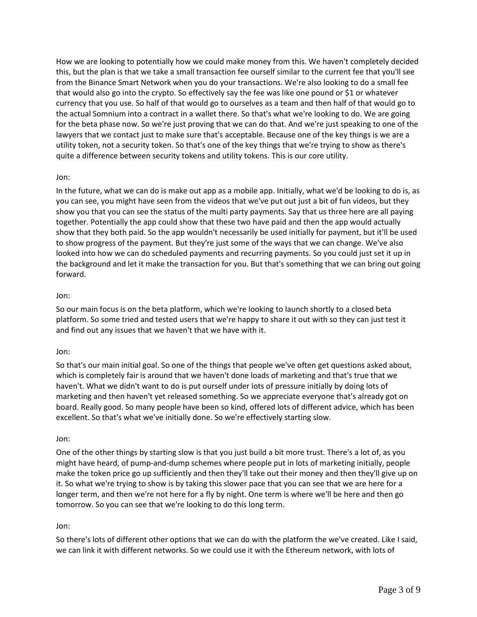How we are looking to potentially how we could make money from this. We haven't completely decided this, but the plan is that we take a small transaction fee ourself similar to the current fee that you'll see from the Binance Smart Network when you do your transactions. We're also looking to do a small fee that would also go into the crypto. So effectively say the fee was like one pound or \$1 or whatever currency that you use. So half of that would go to ourselves as a team and then half of that would go to the actual Somnium into a contract in a wallet there. So that's what we're looking to do. We are going for the beta phase now. So we're just proving that we can do that. And we're just speaking to one of the lawyers that we contact just to make sure that's acceptable. Because one of the key things is we are a utility token, not a security token. So that's one of the key things that we're trying to show as there's quite a difference between security tokens and utility tokens. This is our core utility.

### Jon:

In the future, what we can do is make out app as a mobile app. Initially, what we'd be looking to do is, as you can see, you might have seen from the videos that we've put out just a bit of fun videos, but they show you that you can see the status of the multi party payments. Say that us three here are all paying together. Potentially the app could show that these two have paid and then the app would actually show that they both paid. So the app wouldn't necessarily be used initially for payment, but it'll be used to show progress of the payment. But they're just some of the ways that we can change. We've also looked into how we can do scheduled payments and recurring payments. So you could just set it up in the background and let it make the transaction for you. But that's something that we can bring out going forward.

### Jon:

So our main focus is on the beta platform, which we're looking to launch shortly to a closed beta platform. So some tried and tested users that we're happy to share it out with so they can just test it and find out any issues that we haven't that we have with it.

### Jon:

So that's our main initial goal. So one of the things that people we've often get questions asked about, which is completely fair is around that we haven't done loads of marketing and that's true that we haven't. What we didn't want to do is put ourself under lots of pressure initially by doing lots of marketing and then haven't yet released something. So we appreciate everyone that's already got on board. Really good. So many people have been so kind, offered lots of different advice, which has been excellent. So that's what we've initially done. So we're effectively starting slow.

### Jon:

One of the other things by starting slow is that you just build a bit more trust. There's a lot of, as you might have heard, of pump-and-dump schemes where people put in lots of marketing initially, people make the token price go up sufficiently and then they'll take out their money and then they'll give up on it. So what we're trying to show is by taking this slower pace that you can see that we are here for a longer term, and then we're not here for a fly by night. One term is where we'll be here and then go tomorrow. So you can see that we're looking to do this long term.

### Jon:

So there's lots of different other options that we can do with the platform the we've created. Like I said, we can link it with different networks. So we could use it with the Ethereum network, with lots of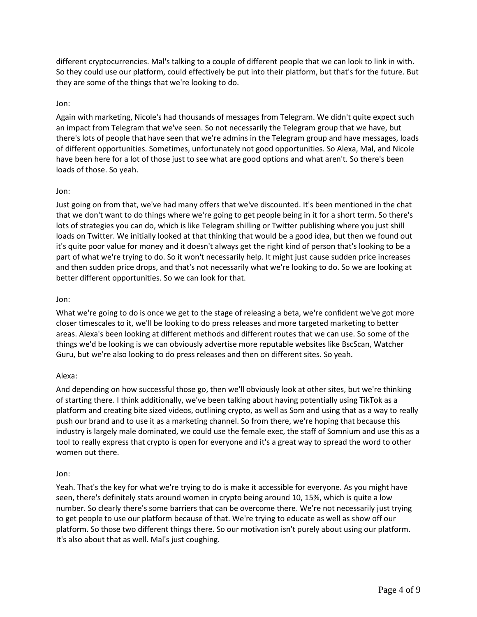different cryptocurrencies. Mal's talking to a couple of different people that we can look to link in with. So they could use our platform, could effectively be put into their platform, but that's for the future. But they are some of the things that we're looking to do.

## Jon:

Again with marketing, Nicole's had thousands of messages from Telegram. We didn't quite expect such an impact from Telegram that we've seen. So not necessarily the Telegram group that we have, but there's lots of people that have seen that we're admins in the Telegram group and have messages, loads of different opportunities. Sometimes, unfortunately not good opportunities. So Alexa, Mal, and Nicole have been here for a lot of those just to see what are good options and what aren't. So there's been loads of those. So yeah.

## Jon:

Just going on from that, we've had many offers that we've discounted. It's been mentioned in the chat that we don't want to do things where we're going to get people being in it for a short term. So there's lots of strategies you can do, which is like Telegram shilling or Twitter publishing where you just shill loads on Twitter. We initially looked at that thinking that would be a good idea, but then we found out it's quite poor value for money and it doesn't always get the right kind of person that's looking to be a part of what we're trying to do. So it won't necessarily help. It might just cause sudden price increases and then sudden price drops, and that's not necessarily what we're looking to do. So we are looking at better different opportunities. So we can look for that.

## Jon:

What we're going to do is once we get to the stage of releasing a beta, we're confident we've got more closer timescales to it, we'll be looking to do press releases and more targeted marketing to better areas. Alexa's been looking at different methods and different routes that we can use. So some of the things we'd be looking is we can obviously advertise more reputable websites like BscScan, Watcher Guru, but we're also looking to do press releases and then on different sites. So yeah.

## Alexa:

And depending on how successful those go, then we'll obviously look at other sites, but we're thinking of starting there. I think additionally, we've been talking about having potentially using TikTok as a platform and creating bite sized videos, outlining crypto, as well as Som and using that as a way to really push our brand and to use it as a marketing channel. So from there, we're hoping that because this industry is largely male dominated, we could use the female exec, the staff of Somnium and use this as a tool to really express that crypto is open for everyone and it's a great way to spread the word to other women out there.

### Jon:

Yeah. That's the key for what we're trying to do is make it accessible for everyone. As you might have seen, there's definitely stats around women in crypto being around 10, 15%, which is quite a low number. So clearly there's some barriers that can be overcome there. We're not necessarily just trying to get people to use our platform because of that. We're trying to educate as well as show off our platform. So those two different things there. So our motivation isn't purely about using our platform. It's also about that as well. Mal's just coughing.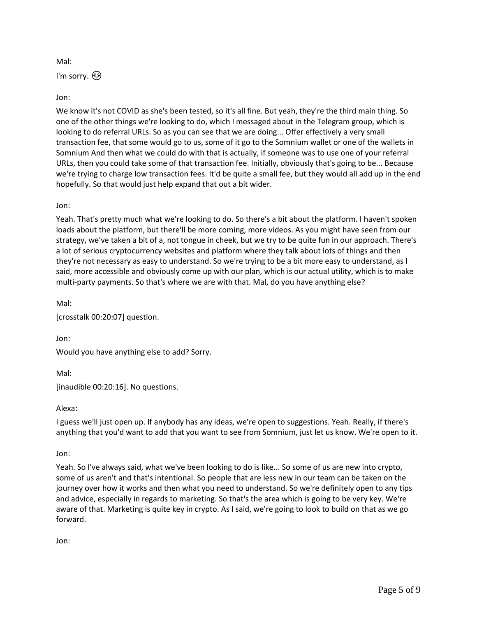Mal:

I'm sorry. ۞

# Jon:

We know it's not COVID as she's been tested, so it's all fine. But yeah, they're the third main thing. So one of the other things we're looking to do, which I messaged about in the Telegram group, which is looking to do referral URLs. So as you can see that we are doing... Offer effectively a very small transaction fee, that some would go to us, some of it go to the Somnium wallet or one of the wallets in Somnium And then what we could do with that is actually, if someone was to use one of your referral URLs, then you could take some of that transaction fee. Initially, obviously that's going to be... Because we're trying to charge low transaction fees. It'd be quite a small fee, but they would all add up in the end hopefully. So that would just help expand that out a bit wider.

## Jon:

Yeah. That's pretty much what we're looking to do. So there's a bit about the platform. I haven't spoken loads about the platform, but there'll be more coming, more videos. As you might have seen from our strategy, we've taken a bit of a, not tongue in cheek, but we try to be quite fun in our approach. There's a lot of serious cryptocurrency websites and platform where they talk about lots of things and then they're not necessary as easy to understand. So we're trying to be a bit more easy to understand, as I said, more accessible and obviously come up with our plan, which is our actual utility, which is to make multi-party payments. So that's where we are with that. Mal, do you have anything else?

Mal:

[crosstalk 00:20:07] question.

Jon:

Would you have anything else to add? Sorry.

Mal:

[inaudible 00:20:16]. No questions.

## Alexa:

I guess we'll just open up. If anybody has any ideas, we're open to suggestions. Yeah. Really, if there's anything that you'd want to add that you want to see from Somnium, just let us know. We're open to it.

## Jon:

Yeah. So I've always said, what we've been looking to do is like... So some of us are new into crypto, some of us aren't and that's intentional. So people that are less new in our team can be taken on the journey over how it works and then what you need to understand. So we're definitely open to any tips and advice, especially in regards to marketing. So that's the area which is going to be very key. We're aware of that. Marketing is quite key in crypto. As I said, we're going to look to build on that as we go forward.

Jon: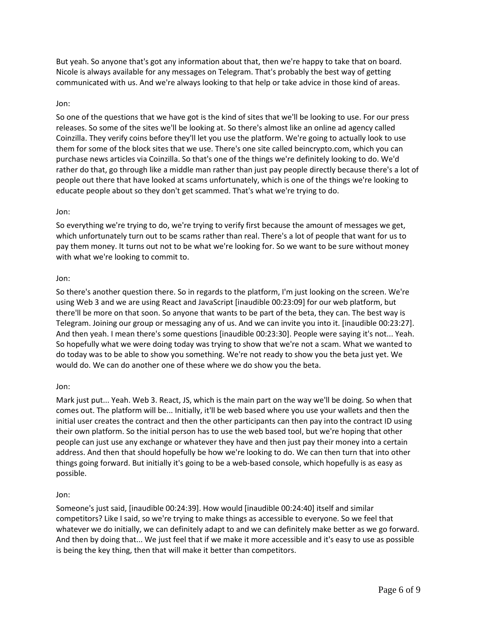But yeah. So anyone that's got any information about that, then we're happy to take that on board. Nicole is always available for any messages on Telegram. That's probably the best way of getting communicated with us. And we're always looking to that help or take advice in those kind of areas.

### Jon:

So one of the questions that we have got is the kind of sites that we'll be looking to use. For our press releases. So some of the sites we'll be looking at. So there's almost like an online ad agency called Coinzilla. They verify coins before they'll let you use the platform. We're going to actually look to use them for some of the block sites that we use. There's one site called beincrypto.com, which you can purchase news articles via Coinzilla. So that's one of the things we're definitely looking to do. We'd rather do that, go through like a middle man rather than just pay people directly because there's a lot of people out there that have looked at scams unfortunately, which is one of the things we're looking to educate people about so they don't get scammed. That's what we're trying to do.

### Jon:

So everything we're trying to do, we're trying to verify first because the amount of messages we get, which unfortunately turn out to be scams rather than real. There's a lot of people that want for us to pay them money. It turns out not to be what we're looking for. So we want to be sure without money with what we're looking to commit to.

#### Jon:

So there's another question there. So in regards to the platform, I'm just looking on the screen. We're using Web 3 and we are using React and JavaScript [inaudible 00:23:09] for our web platform, but there'll be more on that soon. So anyone that wants to be part of the beta, they can. The best way is Telegram. Joining our group or messaging any of us. And we can invite you into it. [inaudible 00:23:27]. And then yeah. I mean there's some questions [inaudible 00:23:30]. People were saying it's not... Yeah. So hopefully what we were doing today was trying to show that we're not a scam. What we wanted to do today was to be able to show you something. We're not ready to show you the beta just yet. We would do. We can do another one of these where we do show you the beta.

### Jon:

Mark just put... Yeah. Web 3. React, JS, which is the main part on the way we'll be doing. So when that comes out. The platform will be... Initially, it'll be web based where you use your wallets and then the initial user creates the contract and then the other participants can then pay into the contract ID using their own platform. So the initial person has to use the web based tool, but we're hoping that other people can just use any exchange or whatever they have and then just pay their money into a certain address. And then that should hopefully be how we're looking to do. We can then turn that into other things going forward. But initially it's going to be a web-based console, which hopefully is as easy as possible.

#### Jon:

Someone's just said, [inaudible 00:24:39]. How would [inaudible 00:24:40] itself and similar competitors? Like I said, so we're trying to make things as accessible to everyone. So we feel that whatever we do initially, we can definitely adapt to and we can definitely make better as we go forward. And then by doing that... We just feel that if we make it more accessible and it's easy to use as possible is being the key thing, then that will make it better than competitors.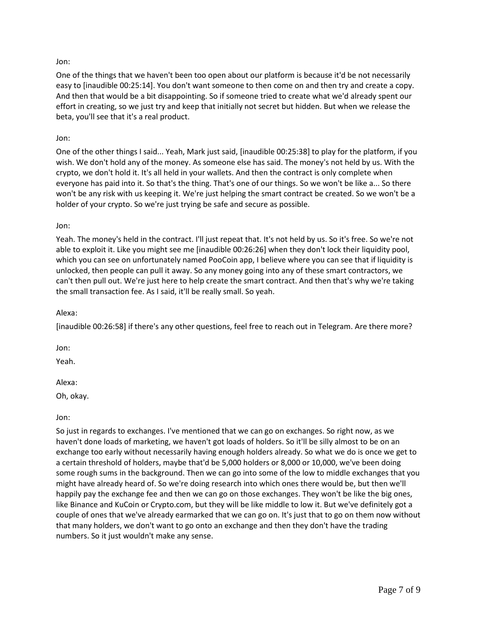## Jon:

One of the things that we haven't been too open about our platform is because it'd be not necessarily easy to [inaudible 00:25:14]. You don't want someone to then come on and then try and create a copy. And then that would be a bit disappointing. So if someone tried to create what we'd already spent our effort in creating, so we just try and keep that initially not secret but hidden. But when we release the beta, you'll see that it's a real product.

## Jon:

One of the other things I said... Yeah, Mark just said, [inaudible 00:25:38] to play for the platform, if you wish. We don't hold any of the money. As someone else has said. The money's not held by us. With the crypto, we don't hold it. It's all held in your wallets. And then the contract is only complete when everyone has paid into it. So that's the thing. That's one of our things. So we won't be like a... So there won't be any risk with us keeping it. We're just helping the smart contract be created. So we won't be a holder of your crypto. So we're just trying be safe and secure as possible.

### Jon:

Yeah. The money's held in the contract. I'll just repeat that. It's not held by us. So it's free. So we're not able to exploit it. Like you might see me [inaudible 00:26:26] when they don't lock their liquidity pool, which you can see on unfortunately named PooCoin app, I believe where you can see that if liquidity is unlocked, then people can pull it away. So any money going into any of these smart contractors, we can't then pull out. We're just here to help create the smart contract. And then that's why we're taking the small transaction fee. As I said, it'll be really small. So yeah.

### Alexa:

[inaudible 00:26:58] if there's any other questions, feel free to reach out in Telegram. Are there more?

Jon:

Yeah.

### Alexa:

Oh, okay.

### Jon:

So just in regards to exchanges. I've mentioned that we can go on exchanges. So right now, as we haven't done loads of marketing, we haven't got loads of holders. So it'll be silly almost to be on an exchange too early without necessarily having enough holders already. So what we do is once we get to a certain threshold of holders, maybe that'd be 5,000 holders or 8,000 or 10,000, we've been doing some rough sums in the background. Then we can go into some of the low to middle exchanges that you might have already heard of. So we're doing research into which ones there would be, but then we'll happily pay the exchange fee and then we can go on those exchanges. They won't be like the big ones, like Binance and KuCoin or Crypto.com, but they will be like middle to low it. But we've definitely got a couple of ones that we've already earmarked that we can go on. It's just that to go on them now without that many holders, we don't want to go onto an exchange and then they don't have the trading numbers. So it just wouldn't make any sense.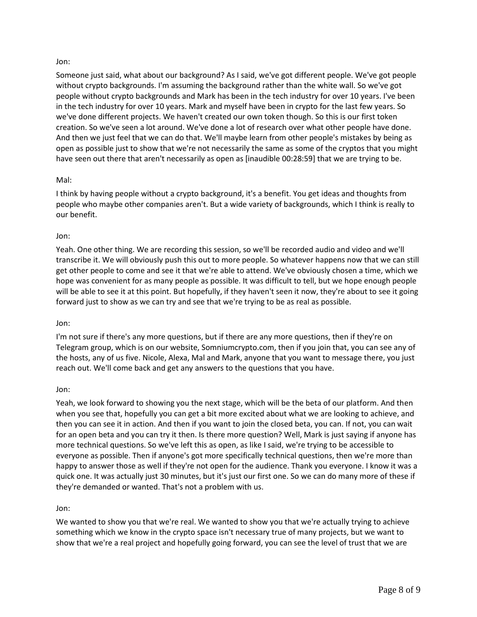### Jon:

Someone just said, what about our background? As I said, we've got different people. We've got people without crypto backgrounds. I'm assuming the background rather than the white wall. So we've got people without crypto backgrounds and Mark has been in the tech industry for over 10 years. I've been in the tech industry for over 10 years. Mark and myself have been in crypto for the last few years. So we've done different projects. We haven't created our own token though. So this is our first token creation. So we've seen a lot around. We've done a lot of research over what other people have done. And then we just feel that we can do that. We'll maybe learn from other people's mistakes by being as open as possible just to show that we're not necessarily the same as some of the cryptos that you might have seen out there that aren't necessarily as open as [inaudible 00:28:59] that we are trying to be.

### Mal:

I think by having people without a crypto background, it's a benefit. You get ideas and thoughts from people who maybe other companies aren't. But a wide variety of backgrounds, which I think is really to our benefit.

### Jon:

Yeah. One other thing. We are recording this session, so we'll be recorded audio and video and we'll transcribe it. We will obviously push this out to more people. So whatever happens now that we can still get other people to come and see it that we're able to attend. We've obviously chosen a time, which we hope was convenient for as many people as possible. It was difficult to tell, but we hope enough people will be able to see it at this point. But hopefully, if they haven't seen it now, they're about to see it going forward just to show as we can try and see that we're trying to be as real as possible.

### Jon:

I'm not sure if there's any more questions, but if there are any more questions, then if they're on Telegram group, which is on our website, Somniumcrypto.com, then if you join that, you can see any of the hosts, any of us five. Nicole, Alexa, Mal and Mark, anyone that you want to message there, you just reach out. We'll come back and get any answers to the questions that you have.

### Jon:

Yeah, we look forward to showing you the next stage, which will be the beta of our platform. And then when you see that, hopefully you can get a bit more excited about what we are looking to achieve, and then you can see it in action. And then if you want to join the closed beta, you can. If not, you can wait for an open beta and you can try it then. Is there more question? Well, Mark is just saying if anyone has more technical questions. So we've left this as open, as like I said, we're trying to be accessible to everyone as possible. Then if anyone's got more specifically technical questions, then we're more than happy to answer those as well if they're not open for the audience. Thank you everyone. I know it was a quick one. It was actually just 30 minutes, but it's just our first one. So we can do many more of these if they're demanded or wanted. That's not a problem with us.

### Jon:

We wanted to show you that we're real. We wanted to show you that we're actually trying to achieve something which we know in the crypto space isn't necessary true of many projects, but we want to show that we're a real project and hopefully going forward, you can see the level of trust that we are